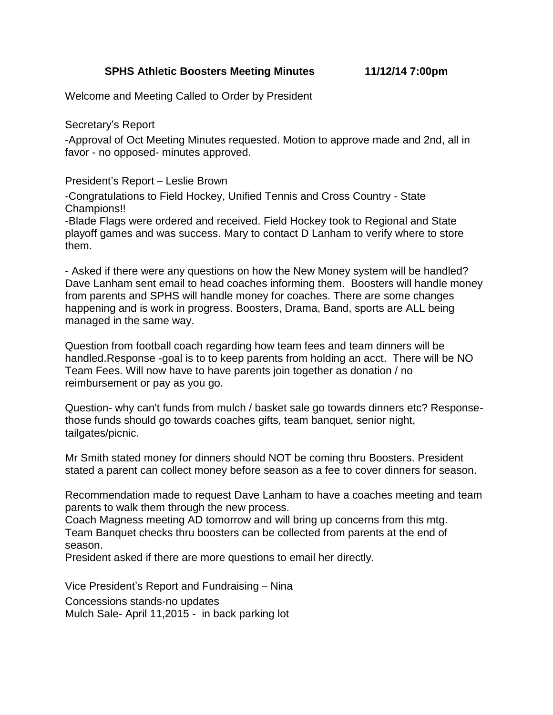**SPHS Athletic Boosters Meeting Minutes 11/12/14 7:00pm**

Welcome and Meeting Called to Order by President

Secretary's Report

-Approval of Oct Meeting Minutes requested. Motion to approve made and 2nd, all in favor - no opposed- minutes approved.

President's Report – Leslie Brown

-Congratulations to Field Hockey, Unified Tennis and Cross Country - State Champions!!

-Blade Flags were ordered and received. Field Hockey took to Regional and State playoff games and was success. Mary to contact D Lanham to verify where to store them.

- Asked if there were any questions on how the New Money system will be handled? Dave Lanham sent email to head coaches informing them. Boosters will handle money from parents and SPHS will handle money for coaches. There are some changes happening and is work in progress. Boosters, Drama, Band, sports are ALL being managed in the same way.

Question from football coach regarding how team fees and team dinners will be handled.Response -goal is to to keep parents from holding an acct. There will be NO Team Fees. Will now have to have parents join together as donation / no reimbursement or pay as you go.

Question- why can't funds from mulch / basket sale go towards dinners etc? Responsethose funds should go towards coaches gifts, team banquet, senior night, tailgates/picnic.

Mr Smith stated money for dinners should NOT be coming thru Boosters. President stated a parent can collect money before season as a fee to cover dinners for season.

Recommendation made to request Dave Lanham to have a coaches meeting and team parents to walk them through the new process.

Coach Magness meeting AD tomorrow and will bring up concerns from this mtg. Team Banquet checks thru boosters can be collected from parents at the end of season.

President asked if there are more questions to email her directly.

Vice President's Report and Fundraising – Nina

Concessions stands-no updates

Mulch Sale- April 11,2015 - in back parking lot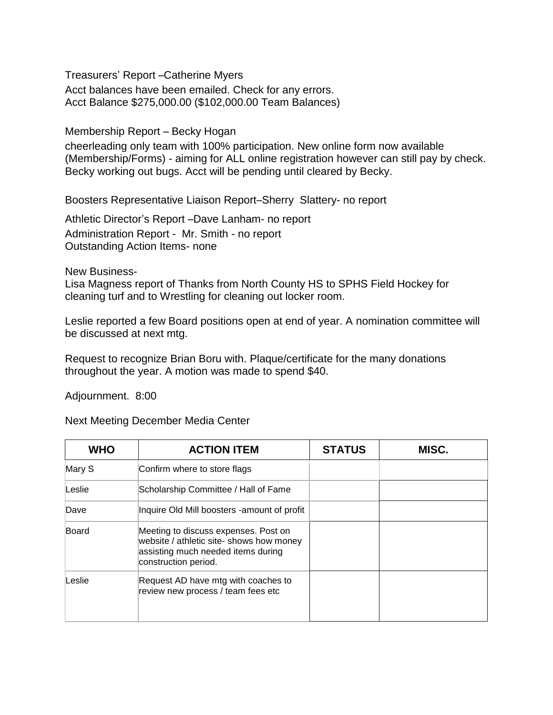Treasurers' Report –Catherine Myers

Acct balances have been emailed. Check for any errors. Acct Balance \$275,000.00 (\$102,000.00 Team Balances)

Membership Report – Becky Hogan

cheerleading only team with 100% participation. New online form now available (Membership/Forms) - aiming for ALL online registration however can still pay by check. Becky working out bugs. Acct will be pending until cleared by Becky.

Boosters Representative Liaison Report–Sherry Slattery- no report

Athletic Director's Report –Dave Lanham- no report Administration Report - Mr. Smith - no report Outstanding Action Items- none

New Business-

Lisa Magness report of Thanks from North County HS to SPHS Field Hockey for cleaning turf and to Wrestling for cleaning out locker room.

Leslie reported a few Board positions open at end of year. A nomination committee will be discussed at next mtg.

Request to recognize Brian Boru with. Plaque/certificate for the many donations throughout the year. A motion was made to spend \$40.

Adjournment. 8:00

Next Meeting December Media Center

| <b>WHO</b> | <b>ACTION ITEM</b>                                                                                                                             | <b>STATUS</b> | MISC. |
|------------|------------------------------------------------------------------------------------------------------------------------------------------------|---------------|-------|
| Mary S     | Confirm where to store flags                                                                                                                   |               |       |
| Leslie     | Scholarship Committee / Hall of Fame                                                                                                           |               |       |
| Dave       | Inquire Old Mill boosters - amount of profit                                                                                                   |               |       |
| Board      | Meeting to discuss expenses. Post on<br>website / athletic site- shows how money<br>assisting much needed items during<br>construction period. |               |       |
| Leslie     | Request AD have mtg with coaches to<br>review new process / team fees etc                                                                      |               |       |